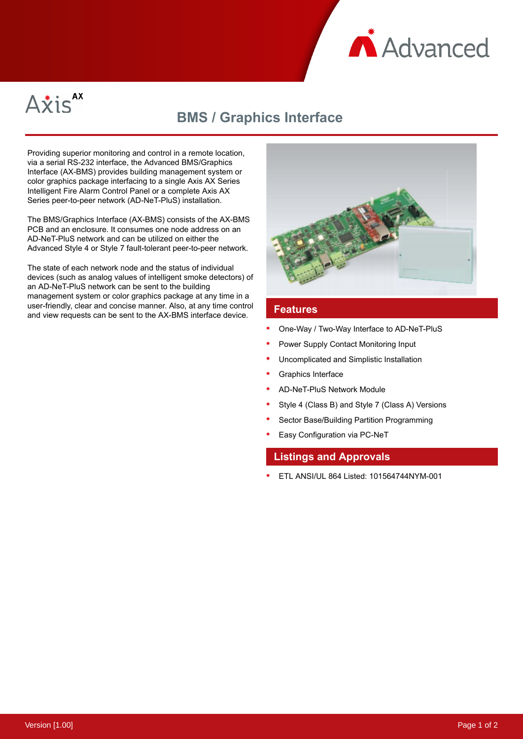



# **BMS / Graphics Interface**

Providing superior monitoring and control in a remote location, via a serial RS-232 interface, the Advanced BMS/Graphics Interface (AX-BMS) provides building management system or color graphics package interfacing to a single Axis AX Series Intelligent Fire Alarm Control Panel or a complete Axis AX Series peer-to-peer network (AD-NeT-PluS) installation.

The BMS/Graphics Interface (AX-BMS) consists of the AX-BMS PCB and an enclosure. It consumes one node address on an AD-NeT-PluS network and can be utilized on either the Advanced Style 4 or Style 7 fault-tolerant peer-to-peer network.

The state of each network node and the status of individual devices (such as analog values of intelligent smoke detectors) of an AD-NeT-PluS network can be sent to the building management system or color graphics package at any time in a user-friendly, clear and concise manner. Also, at any time control and view requests can be sent to the AX-BMS interface device. **Features**



- One-Way / Two-Way Interface to AD-NeT-PluS
- Power Supply Contact Monitoring Input
- Uncomplicated and Simplistic Installation
- Graphics Interface
- AD-NeT-PluS Network Module
- Style 4 (Class B) and Style 7 (Class A) Versions
- Sector Base/Building Partition Programming
- Easy Configuration via PC-NeT

### **Listings and Approvals**

ETL ANSI/UL 864 Listed: 101564744NYM-001